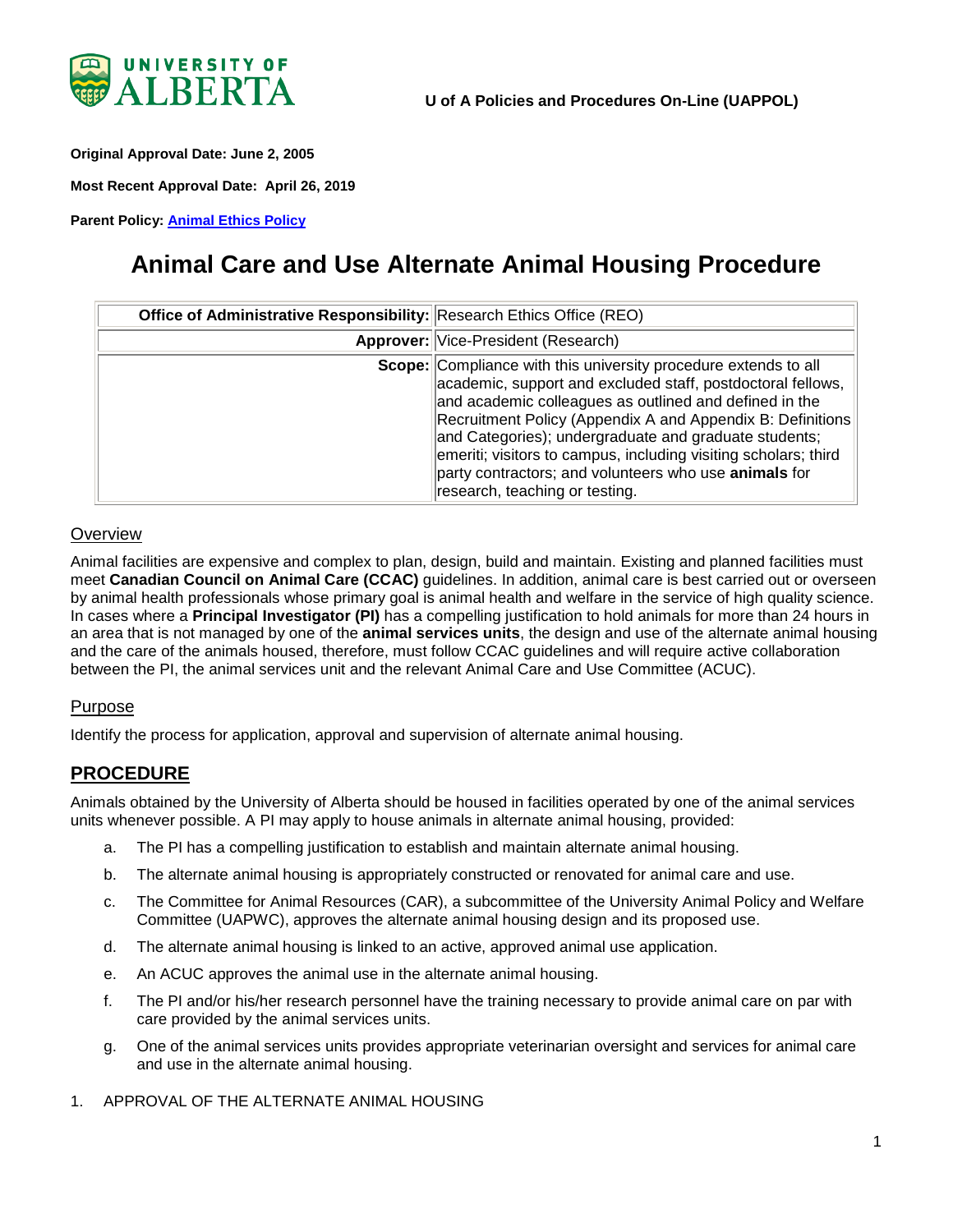

<span id="page-0-0"></span>**Original Approval Date: June 2, 2005**

**Most Recent Approval Date: April 26, 2019**

**Parent Policy: [Animal Ethics Policy](https://policiesonline.ualberta.ca/policiesprocedures/policies/animal-ethics-policy.pdf)**

# **Animal Care and Use Alternate Animal Housing Procedure**

| Office of Administrative Responsibility: Research Ethics Office (REO) |                                                                                                                                                                                                                                                                                                                                                                                                                                                                               |
|-----------------------------------------------------------------------|-------------------------------------------------------------------------------------------------------------------------------------------------------------------------------------------------------------------------------------------------------------------------------------------------------------------------------------------------------------------------------------------------------------------------------------------------------------------------------|
|                                                                       | <b>Approver: Vice-President (Research)</b>                                                                                                                                                                                                                                                                                                                                                                                                                                    |
|                                                                       | Scope: Compliance with this university procedure extends to all<br>academic, support and excluded staff, postdoctoral fellows,<br>and academic colleagues as outlined and defined in the<br>Recruitment Policy (Appendix A and Appendix B: Definitions<br>and Categories); undergraduate and graduate students;<br>emeriti; visitors to campus, including visiting scholars; third<br>party contractors; and volunteers who use animals for<br>research, teaching or testing. |

#### **Overview**

Animal facilities are expensive and complex to plan, design, build and maintain. Existing and planned facilities must meet **Canadian Council on Animal Care (CCAC)** guidelines. In addition, animal care is best carried out or overseen by animal health professionals whose primary goal is animal health and welfare in the service of high quality science. In cases where a **Principal Investigator (PI)** has a compelling justification to hold animals for more than 24 hours in an area that is not managed by one of the **animal services units**, the design and use of the alternate animal housing and the care of the animals housed, therefore, must follow CCAC guidelines and will require active collaboration between the PI, the animal services unit and the relevant Animal Care and Use Committee (ACUC).

#### Purpose

Identify the process for application, approval and supervision of alternate animal housing.

### **PROCEDURE**

Animals obtained by the University of Alberta should be housed in facilities operated by one of the animal services units whenever possible. A PI may apply to house animals in alternate animal housing, provided:

- a. The PI has a compelling justification to establish and maintain alternate animal housing.
- b. The alternate animal housing is appropriately constructed or renovated for animal care and use.
- c. The Committee for Animal Resources (CAR), a subcommittee of the University Animal Policy and Welfare Committee (UAPWC), approves the alternate animal housing design and its proposed use.
- d. The alternate animal housing is linked to an active, approved animal use application.
- e. An ACUC approves the animal use in the alternate animal housing.
- f. The PI and/or his/her research personnel have the training necessary to provide animal care on par with care provided by the animal services units.
- g. One of the animal services units provides appropriate veterinarian oversight and services for animal care and use in the alternate animal housing.
- 1. APPROVAL OF THE ALTERNATE ANIMAL HOUSING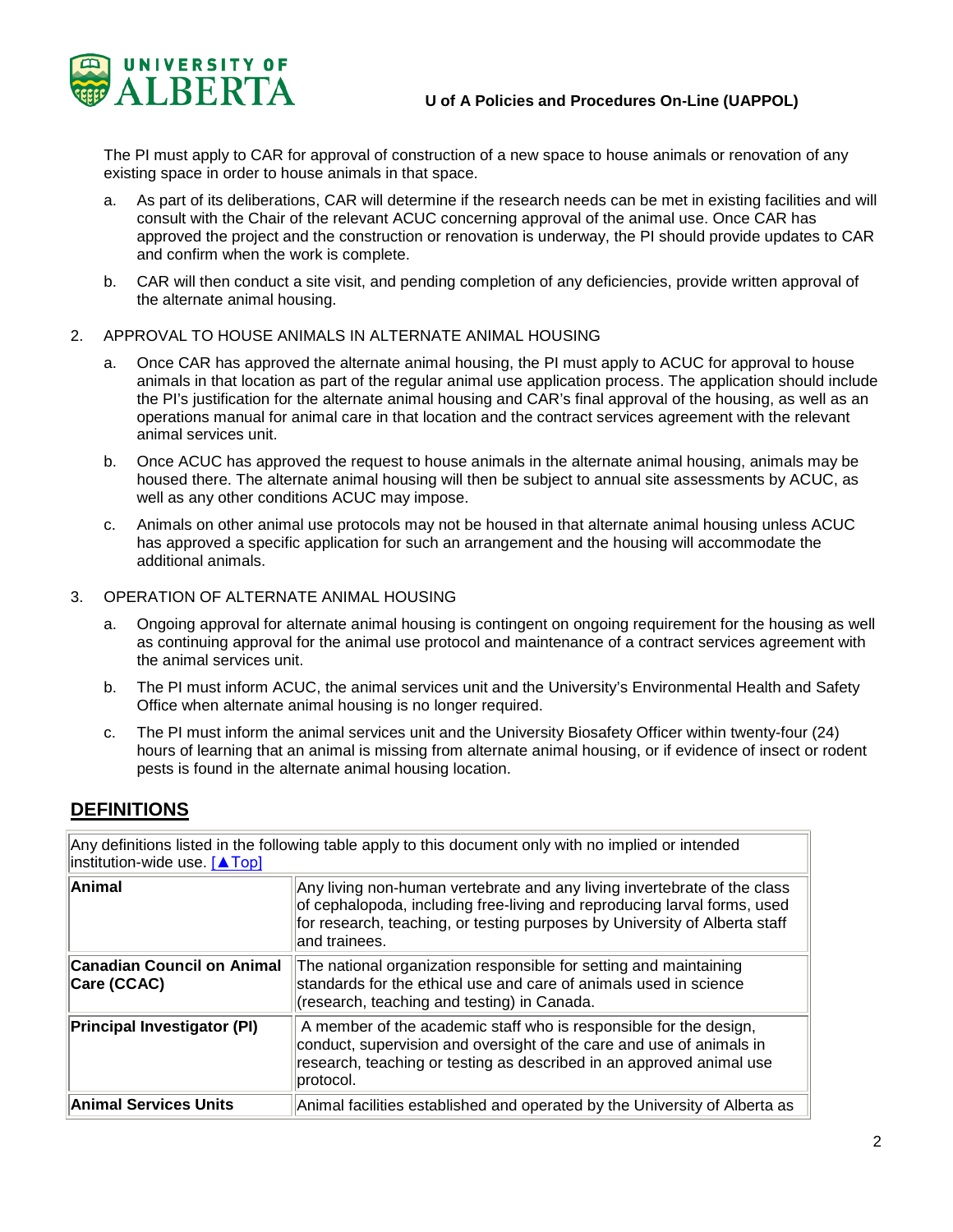

The PI must apply to CAR for approval of construction of a new space to house animals or renovation of any existing space in order to house animals in that space.

- a. As part of its deliberations, CAR will determine if the research needs can be met in existing facilities and will consult with the Chair of the relevant ACUC concerning approval of the animal use. Once CAR has approved the project and the construction or renovation is underway, the PI should provide updates to CAR and confirm when the work is complete.
- b. CAR will then conduct a site visit, and pending completion of any deficiencies, provide written approval of the alternate animal housing.
- 2. APPROVAL TO HOUSE ANIMALS IN ALTERNATE ANIMAL HOUSING
	- a. Once CAR has approved the alternate animal housing, the PI must apply to ACUC for approval to house animals in that location as part of the regular animal use application process. The application should include the PI's justification for the alternate animal housing and CAR's final approval of the housing, as well as an operations manual for animal care in that location and the contract services agreement with the relevant animal services unit.
	- b. Once ACUC has approved the request to house animals in the alternate animal housing, animals may be housed there. The alternate animal housing will then be subject to annual site assessments by ACUC, as well as any other conditions ACUC may impose.
	- c. Animals on other animal use protocols may not be housed in that alternate animal housing unless ACUC has approved a specific application for such an arrangement and the housing will accommodate the additional animals.
- 3. OPERATION OF ALTERNATE ANIMAL HOUSING
	- a. Ongoing approval for alternate animal housing is contingent on ongoing requirement for the housing as well as continuing approval for the animal use protocol and maintenance of a contract services agreement with the animal services unit.
	- b. The PI must inform ACUC, the animal services unit and the University's Environmental Health and Safety Office when alternate animal housing is no longer required.
	- c. The PI must inform the animal services unit and the University Biosafety Officer within twenty-four (24) hours of learning that an animal is missing from alternate animal housing, or if evidence of insect or rodent pests is found in the alternate animal housing location.

### **DEFINITIONS**

| Any definitions listed in the following table apply to this document only with no implied or intended<br>institution-wide use. [ATop] |                                                                                                                                                                                                                                                     |
|---------------------------------------------------------------------------------------------------------------------------------------|-----------------------------------------------------------------------------------------------------------------------------------------------------------------------------------------------------------------------------------------------------|
| Animal                                                                                                                                | Any living non-human vertebrate and any living invertebrate of the class<br>of cephalopoda, including free-living and reproducing larval forms, used<br>for research, teaching, or testing purposes by University of Alberta staff<br>and trainees. |
| <b>Canadian Council on Animal</b><br>Care (CCAC)                                                                                      | The national organization responsible for setting and maintaining<br>standards for the ethical use and care of animals used in science<br>(research, teaching and testing) in Canada.                                                               |
| <b>Principal Investigator (PI)</b>                                                                                                    | A member of the academic staff who is responsible for the design,<br>conduct, supervision and oversight of the care and use of animals in<br>research, teaching or testing as described in an approved animal use<br>protocol.                      |
| <b>Animal Services Units</b>                                                                                                          | Animal facilities established and operated by the University of Alberta as                                                                                                                                                                          |